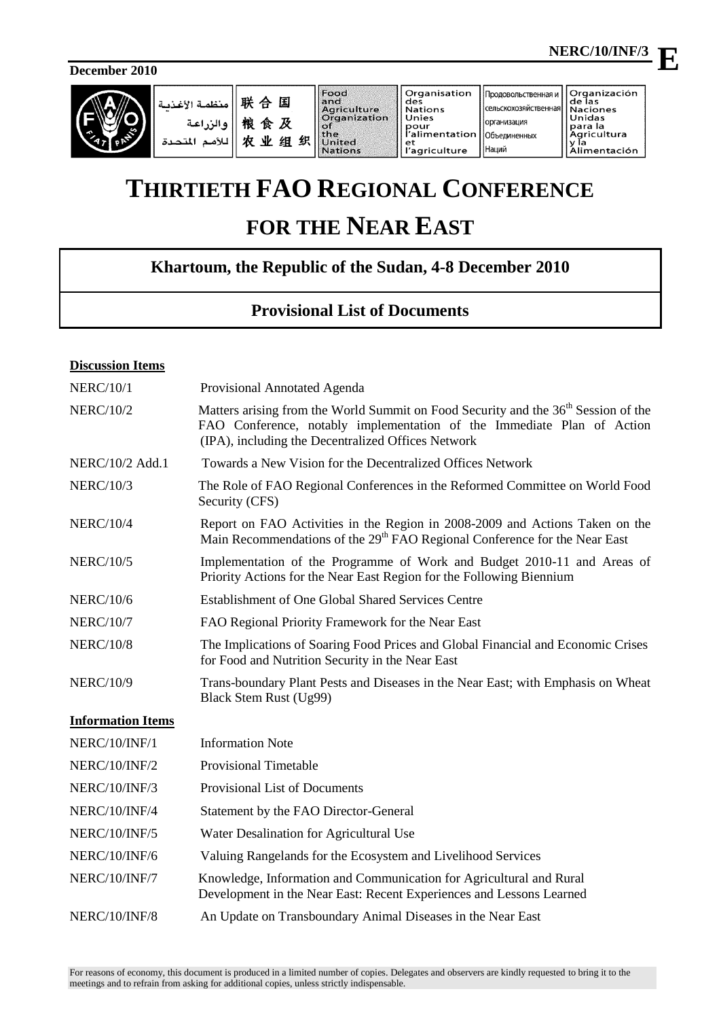**E**

**December 2010** 



# **THIRTIETH FAO REGIONAL CONFERENCE**

## **FOR THE NEAR EAST**

## **Khartoum, the Republic of the Sudan, 4-8 December 2010**

### **Provisional List of Documents**

#### **Discussion Items**

| <b>NERC/10/1</b>         | Provisional Annotated Agenda                                                                                                                                                                                                   |
|--------------------------|--------------------------------------------------------------------------------------------------------------------------------------------------------------------------------------------------------------------------------|
| <b>NERC/10/2</b>         | Matters arising from the World Summit on Food Security and the 36 <sup>th</sup> Session of the<br>FAO Conference, notably implementation of the Immediate Plan of Action<br>(IPA), including the Decentralized Offices Network |
| NERC/10/2 Add.1          | Towards a New Vision for the Decentralized Offices Network                                                                                                                                                                     |
| <b>NERC/10/3</b>         | The Role of FAO Regional Conferences in the Reformed Committee on World Food<br>Security (CFS)                                                                                                                                 |
| <b>NERC/10/4</b>         | Report on FAO Activities in the Region in 2008-2009 and Actions Taken on the<br>Main Recommendations of the 29 <sup>th</sup> FAO Regional Conference for the Near East                                                         |
| <b>NERC/10/5</b>         | Implementation of the Programme of Work and Budget 2010-11 and Areas of<br>Priority Actions for the Near East Region for the Following Biennium                                                                                |
| <b>NERC/10/6</b>         | Establishment of One Global Shared Services Centre                                                                                                                                                                             |
| <b>NERC/10/7</b>         | FAO Regional Priority Framework for the Near East                                                                                                                                                                              |
| <b>NERC/10/8</b>         | The Implications of Soaring Food Prices and Global Financial and Economic Crises<br>for Food and Nutrition Security in the Near East                                                                                           |
| <b>NERC/10/9</b>         | Trans-boundary Plant Pests and Diseases in the Near East; with Emphasis on Wheat<br>Black Stem Rust (Ug99)                                                                                                                     |
| <b>Information Items</b> |                                                                                                                                                                                                                                |
| NERC/10/INF/1            | <b>Information Note</b>                                                                                                                                                                                                        |
| <b>NERC/10/INF/2</b>     | <b>Provisional Timetable</b>                                                                                                                                                                                                   |
| NERC/10/INF/3            | Provisional List of Documents                                                                                                                                                                                                  |
| NERC/10/INF/4            | Statement by the FAO Director-General                                                                                                                                                                                          |
| <b>NERC/10/INF/5</b>     | Water Desalination for Agricultural Use                                                                                                                                                                                        |
| NERC/10/INF/6            | Valuing Rangelands for the Ecosystem and Livelihood Services                                                                                                                                                                   |
| NERC/10/INF/7            | Knowledge, Information and Communication for Agricultural and Rural<br>Development in the Near East: Recent Experiences and Lessons Learned                                                                                    |
|                          |                                                                                                                                                                                                                                |